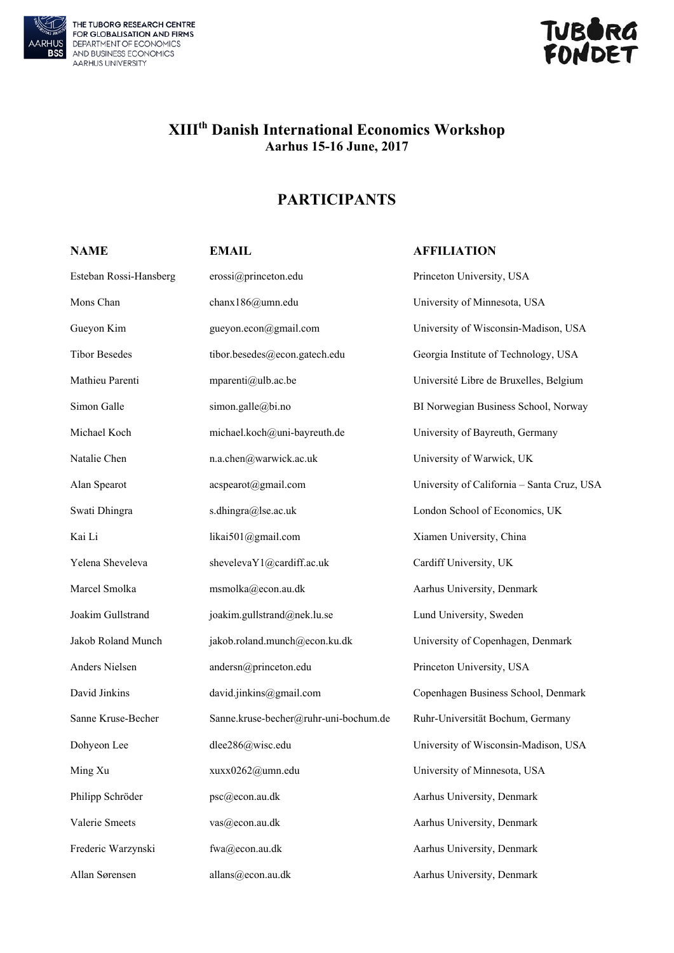

THE TUBORG RESEARCH CENTRE<br>FOR GLOBALISATION AND FIRMS<br>DEPARTMENT OF ECONOMICS<br>AND BUSINESS ECONOMICS AARHUS UNIVERSITY



## **XIIIth Danish International Economics Workshop Aarhus 15-16 June, 2017**

# **PARTICIPANTS**

### **NAME EMAIL EMAIL AFFILIATION**

| Esteban Rossi-Hansberg | erossi@princeton.edu                  | Princeton University, USA                  |
|------------------------|---------------------------------------|--------------------------------------------|
| Mons Chan              | chanx186@umn.edu                      | University of Minnesota, USA               |
| Gueyon Kim             | gueyon.econ@gmail.com                 | University of Wisconsin-Madison, USA       |
| <b>Tibor Besedes</b>   | tibor.besedes@econ.gatech.edu         | Georgia Institute of Technology, USA       |
| Mathieu Parenti        | mparenti@ulb.ac.be                    | Université Libre de Bruxelles, Belgium     |
| Simon Galle            | simon.galle@bi.no                     | BI Norwegian Business School, Norway       |
| Michael Koch           | michael.koch@uni-bayreuth.de          | University of Bayreuth, Germany            |
| Natalie Chen           | n.a.chen@warwick.ac.uk                | University of Warwick, UK                  |
| Alan Spearot           | acspearot@gmail.com                   | University of California - Santa Cruz, USA |
| Swati Dhingra          | s.dhingra@lse.ac.uk                   | London School of Economics, UK             |
| Kai Li                 | likai501@gmail.com                    | Xiamen University, China                   |
| Yelena Sheveleva       | shevelevaY1@cardiff.ac.uk             | Cardiff University, UK                     |
| Marcel Smolka          | msmolka@econ.au.dk                    | Aarhus University, Denmark                 |
| Joakim Gullstrand      | joakim.gullstrand@nek.lu.se           | Lund University, Sweden                    |
| Jakob Roland Munch     | jakob.roland.munch@econ.ku.dk         | University of Copenhagen, Denmark          |
| Anders Nielsen         | andersn@princeton.edu                 | Princeton University, USA                  |
| David Jinkins          | david.jinkins@gmail.com               | Copenhagen Business School, Denmark        |
| Sanne Kruse-Becher     | Sanne.kruse-becher@ruhr-uni-bochum.de | Ruhr-Universität Bochum, Germany           |
| Dohyeon Lee            | dlee286@wisc.edu                      | University of Wisconsin-Madison, USA       |
| Ming Xu                | xuxx0262@umn.edu                      | University of Minnesota, USA               |
| Philipp Schröder       | psc@econ.au.dk                        | Aarhus University, Denmark                 |
| Valerie Smeets         | vas@econ.au.dk                        | Aarhus University, Denmark                 |
| Frederic Warzynski     | fwa@econ.au.dk                        | Aarhus University, Denmark                 |
| Allan Sørensen         | allans@econ.au.dk                     | Aarhus University, Denmark                 |